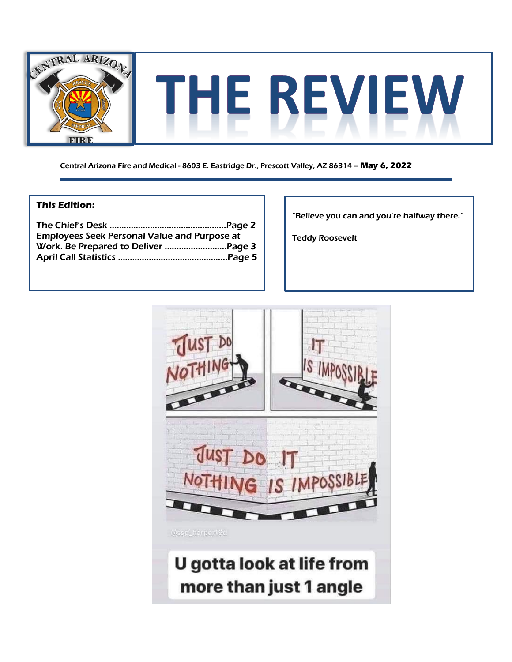

Central Arizona Fire and Medical - 8603 E. Eastridge Dr., Prescott Valley, AZ 86314 – **May 6, 2022**

### **This Edition:**

| <b>Employees Seek Personal Value and Purpose at</b> |  |
|-----------------------------------------------------|--|
|                                                     |  |
|                                                     |  |

"Believe you can and you're halfway there."

Teddy Roosevelt

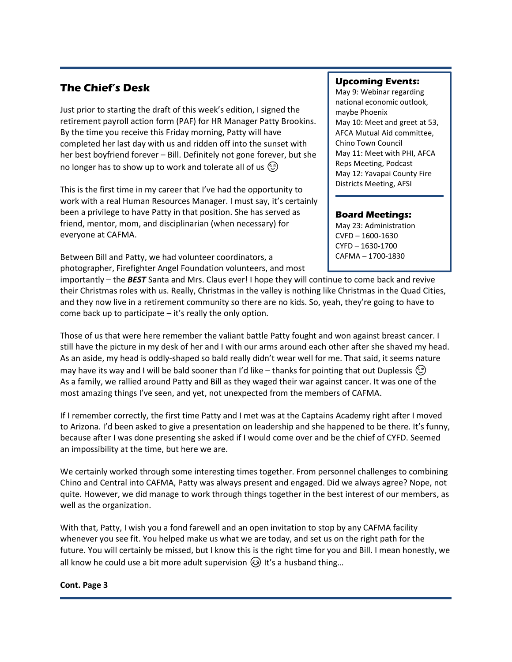# **The Chief's Desk**

Just prior to starting the draft of this week's edition, I signed the retirement payroll action form (PAF) for HR Manager Patty Brookins. By the time you receive this Friday morning, Patty will have completed her last day with us and ridden off into the sunset with her best boyfriend forever – Bill. Definitely not gone forever, but she no longer has to show up to work and tolerate all of us  $\circled{c}$ 

This is the first time in my career that I've had the opportunity to work with a real Human Resources Manager. I must say, it's certainly been a privilege to have Patty in that position. She has served as friend, mentor, mom, and disciplinarian (when necessary) for everyone at CAFMA.

Between Bill and Patty, we had volunteer coordinators, a photographer, Firefighter Angel Foundation volunteers, and most

## **Upcoming Events:**

May 9: Webinar regarding national economic outlook, maybe Phoenix May 10: Meet and greet at 53, AFCA Mutual Aid committee, Chino Town Council May 11: Meet with PHI, AFCA Reps Meeting, Podcast May 12: Yavapai County Fire Districts Meeting, AFSI

## **Board Meetings:**

May 23: Administration CVFD – 1600-1630 CYFD – 1630-1700 CAFMA – 1700-1830

importantly – the *BEST* Santa and Mrs. Claus ever! I hope they will continue to come back and revive their Christmas roles with us. Really, Christmas in the valley is nothing like Christmas in the Quad Cities, and they now live in a retirement community so there are no kids. So, yeah, they're going to have to come back up to participate – it's really the only option.

Those of us that were here remember the valiant battle Patty fought and won against breast cancer. I still have the picture in my desk of her and I with our arms around each other after she shaved my head. As an aside, my head is oddly-shaped so bald really didn't wear well for me. That said, it seems nature may have its way and I will be bald sooner than I'd like – thanks for pointing that out Duplessis  $\circled{z}$ As a family, we rallied around Patty and Bill as they waged their war against cancer. It was one of the most amazing things I've seen, and yet, not unexpected from the members of CAFMA.

If I remember correctly, the first time Patty and I met was at the Captains Academy right after I moved to Arizona. I'd been asked to give a presentation on leadership and she happened to be there. It's funny, because after I was done presenting she asked if I would come over and be the chief of CYFD. Seemed an impossibility at the time, but here we are.

We certainly worked through some interesting times together. From personnel challenges to combining Chino and Central into CAFMA, Patty was always present and engaged. Did we always agree? Nope, not quite. However, we did manage to work through things together in the best interest of our members, as well as the organization.

With that, Patty, I wish you a fond farewell and an open invitation to stop by any CAFMA facility whenever you see fit. You helped make us what we are today, and set us on the right path for the future. You will certainly be missed, but I know this is the right time for you and Bill. I mean honestly, we all know he could use a bit more adult supervision  $\odot$  It's a husband thing...

#### **Cont. Page 3**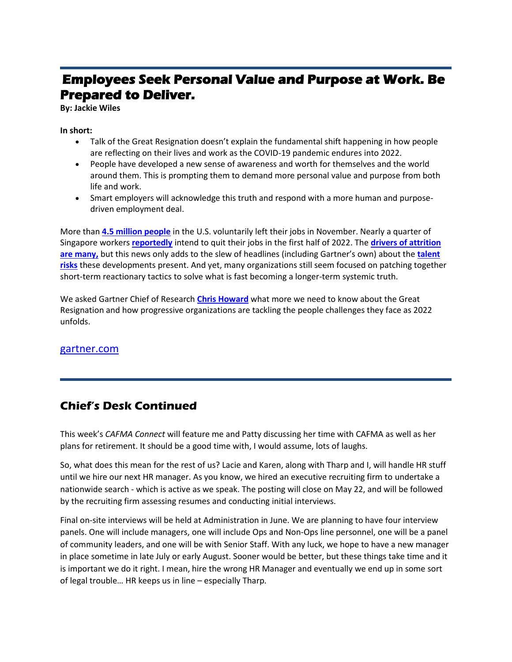# **Employees Seek Personal Value and Purpose at Work. Be Prepared to Deliver.**

**By: Jackie Wiles** 

#### **In short:**

- Talk of the Great Resignation doesn't explain the fundamental shift happening in how people are reflecting on their lives and work as the COVID-19 pandemic endures into 2022.
- People have developed a new sense of awareness and worth for themselves and the world around them. This is prompting them to demand more personal value and purpose from both life and work.
- Smart employers will acknowledge this truth and respond with a more human and purposedriven employment deal.

More than **[4.5 million people](https://www.bls.gov/news.release/jolts.nr0.htm)** in the U.S. voluntarily left their jobs in November. Nearly a quarter of Singapore workers **[reportedly](https://www.todayonline.com/singapore/nearly-quarter-spore-workers-intend-quit-their-jobs-first-half-2022-survey-1775126)** intend to quit their jobs in the first half of 2022. The **[drivers of attrition](https://www.gartner.com/en/articles/great-resignation-or-not-money-won-t-fix-all-your-talent-problems)  [are many,](https://www.gartner.com/en/articles/great-resignation-or-not-money-won-t-fix-all-your-talent-problems)** but this news only adds to the slew of headlines (including Gartner's own) about the **[talent](https://www.gartner.com/en/articles/worried-about-employee-turnover-ask-these-6-questions-to-size-your-risk)  [risks](https://www.gartner.com/en/articles/worried-about-employee-turnover-ask-these-6-questions-to-size-your-risk)** these developments present. And yet, many organizations still seem focused on patching together short-term reactionary tactics to solve what is fast becoming a longer-term systemic truth.

We asked Gartner Chief of Research **[Chris Howard](https://www.gartner.com/en/experts/chris-howard)** what more we need to know about the Great Resignation and how progressive organizations are tackling the people challenges they face as 2022 unfolds.

## [gartner.com](https://www.gartner.com/en/articles/employees-seek-personal-value-and-purpose-at-work-be-prepared-to-deliver)

# **Chief's Desk Continued**

This week's *CAFMA Connect* will feature me and Patty discussing her time with CAFMA as well as her plans for retirement. It should be a good time with, I would assume, lots of laughs.

So, what does this mean for the rest of us? Lacie and Karen, along with Tharp and I, will handle HR stuff until we hire our next HR manager. As you know, we hired an executive recruiting firm to undertake a nationwide search - which is active as we speak. The posting will close on May 22, and will be followed by the recruiting firm assessing resumes and conducting initial interviews.

Final on-site interviews will be held at Administration in June. We are planning to have four interview panels. One will include managers, one will include Ops and Non-Ops line personnel, one will be a panel of community leaders, and one will be with Senior Staff. With any luck, we hope to have a new manager in place sometime in late July or early August. Sooner would be better, but these things take time and it is important we do it right. I mean, hire the wrong HR Manager and eventually we end up in some sort of legal trouble… HR keeps us in line – especially Tharp.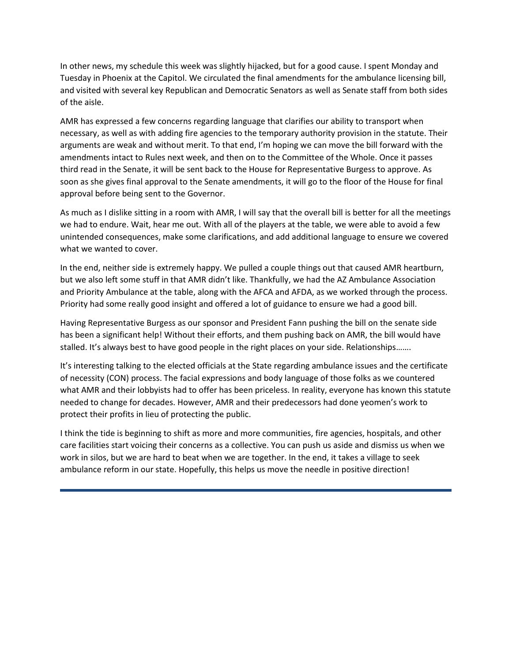In other news, my schedule this week was slightly hijacked, but for a good cause. I spent Monday and Tuesday in Phoenix at the Capitol. We circulated the final amendments for the ambulance licensing bill, and visited with several key Republican and Democratic Senators as well as Senate staff from both sides of the aisle.

AMR has expressed a few concerns regarding language that clarifies our ability to transport when necessary, as well as with adding fire agencies to the temporary authority provision in the statute. Their arguments are weak and without merit. To that end, I'm hoping we can move the bill forward with the amendments intact to Rules next week, and then on to the Committee of the Whole. Once it passes third read in the Senate, it will be sent back to the House for Representative Burgess to approve. As soon as she gives final approval to the Senate amendments, it will go to the floor of the House for final approval before being sent to the Governor.

As much as I dislike sitting in a room with AMR, I will say that the overall bill is better for all the meetings we had to endure. Wait, hear me out. With all of the players at the table, we were able to avoid a few unintended consequences, make some clarifications, and add additional language to ensure we covered what we wanted to cover.

In the end, neither side is extremely happy. We pulled a couple things out that caused AMR heartburn, but we also left some stuff in that AMR didn't like. Thankfully, we had the AZ Ambulance Association and Priority Ambulance at the table, along with the AFCA and AFDA, as we worked through the process. Priority had some really good insight and offered a lot of guidance to ensure we had a good bill.

Having Representative Burgess as our sponsor and President Fann pushing the bill on the senate side has been a significant help! Without their efforts, and them pushing back on AMR, the bill would have stalled. It's always best to have good people in the right places on your side. Relationships…….

It's interesting talking to the elected officials at the State regarding ambulance issues and the certificate of necessity (CON) process. The facial expressions and body language of those folks as we countered what AMR and their lobbyists had to offer has been priceless. In reality, everyone has known this statute needed to change for decades. However, AMR and their predecessors had done yeomen's work to protect their profits in lieu of protecting the public.

I think the tide is beginning to shift as more and more communities, fire agencies, hospitals, and other care facilities start voicing their concerns as a collective. You can push us aside and dismiss us when we work in silos, but we are hard to beat when we are together. In the end, it takes a village to seek ambulance reform in our state. Hopefully, this helps us move the needle in positive direction!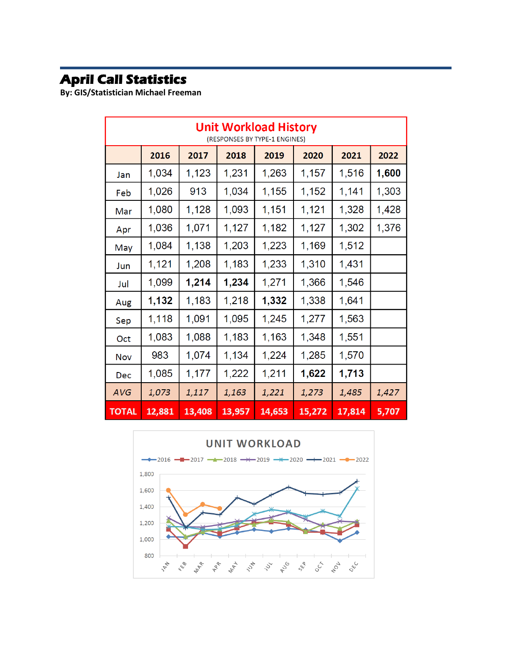# **April Call Statistics**

**By: GIS/Statistician Michael Freeman**

| <b>Unit Workload History</b><br>(RESPONSES BY TYPE-1 ENGINES) |        |        |        |        |        |        |       |
|---------------------------------------------------------------|--------|--------|--------|--------|--------|--------|-------|
|                                                               | 2016   | 2017   | 2018   | 2019   | 2020   | 2021   | 2022  |
| Jan                                                           | 1,034  | 1,123  | 1,231  | 1,263  | 1,157  | 1,516  | 1,600 |
| Feb                                                           | 1,026  | 913    | 1,034  | 1,155  | 1,152  | 1,141  | 1,303 |
| Mar                                                           | 1,080  | 1,128  | 1,093  | 1,151  | 1,121  | 1,328  | 1,428 |
| Apr                                                           | 1,036  | 1,071  | 1,127  | 1,182  | 1,127  | 1,302  | 1,376 |
| May                                                           | 1,084  | 1,138  | 1,203  | 1,223  | 1,169  | 1,512  |       |
| Jun                                                           | 1,121  | 1,208  | 1,183  | 1,233  | 1,310  | 1,431  |       |
| Jul                                                           | 1,099  | 1,214  | 1,234  | 1,271  | 1,366  | 1,546  |       |
| Aug                                                           | 1,132  | 1,183  | 1,218  | 1,332  | 1,338  | 1,641  |       |
| Sep                                                           | 1,118  | 1,091  | 1,095  | 1,245  | 1,277  | 1,563  |       |
| Oct                                                           | 1,083  | 1,088  | 1,183  | 1,163  | 1,348  | 1,551  |       |
| Nov                                                           | 983    | 1,074  | 1,134  | 1,224  | 1,285  | 1,570  |       |
| Dec                                                           | 1,085  | 1,177  | 1,222  | 1,211  | 1,622  | 1,713  |       |
| AVG                                                           | 1,073  | 1,117  | 1,163  | 1,221  | 1,273  | 1,485  | 1,427 |
| <b>TOTAL</b>                                                  | 12,881 | 13,408 | 13,957 | 14,653 | 15,272 | 17,814 | 5,707 |